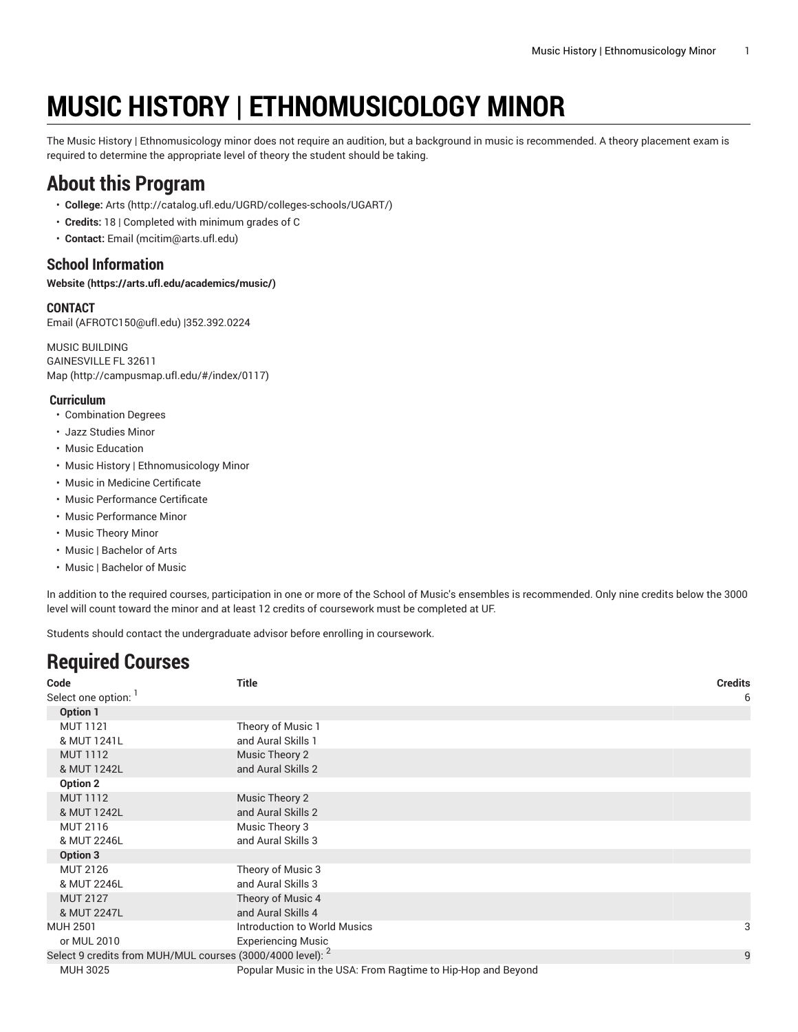# **MUSIC HISTORY | ETHNOMUSICOLOGY MINOR**

The Music History | Ethnomusicology minor does not require an audition, but a background in music is recommended. A theory placement exam is required to determine the appropriate level of theory the student should be taking.

### **About this Program**

- **College:** [Arts](http://catalog.ufl.edu/UGRD/colleges-schools/UGART/) ([http://catalog.ufl.edu/UGRD/colleges-schools/UGART/\)](http://catalog.ufl.edu/UGRD/colleges-schools/UGART/)
- **Credits:** 18 | Completed with minimum grades of C
- **Contact:** [Email](mailto:mcitim@arts.ufl.edu) [\(mcitim@arts.ufl.edu](mcitim@arts.ufl.edu))

### **School Information**

**[Website](https://arts.ufl.edu/academics/music/) ([https://arts.ufl.edu/academics/music/\)](https://arts.ufl.edu/academics/music/)**

#### **CONTACT**

[Email](mailto:AFROTC150@ufl.edu) (<AFROTC150@ufl.edu>) |352.392.0224

MUSIC BUILDING GAINESVILLE FL 32611 [Map](http://campusmap.ufl.edu/#/index/0117) ([http://campusmap.ufl.edu/#/index/0117\)](http://campusmap.ufl.edu/#/index/0117)

#### **Curriculum**

- Combination Degrees
- Jazz Studies Minor
- Music Education
- Music History | Ethnomusicology Minor
- Music in Medicine Certificate
- Music Performance Certificate
- Music Performance Minor
- Music Theory Minor
- Music | Bachelor of Arts
- Music | Bachelor of Music

In addition to the required courses, participation in one or more of the School of Music's ensembles is recommended. Only nine credits below the 3000 level will count toward the minor and at least 12 credits of coursework must be completed at UF.

Students should contact the undergraduate advisor before enrolling in coursework.

## **Required Courses**

| Code                                                                  | <b>Title</b>                                                 | <b>Credits</b> |
|-----------------------------------------------------------------------|--------------------------------------------------------------|----------------|
| Select one option:                                                    |                                                              | 6              |
| Option 1                                                              |                                                              |                |
| <b>MUT 1121</b>                                                       | Theory of Music 1                                            |                |
| & MUT 1241L                                                           | and Aural Skills 1                                           |                |
| <b>MUT 1112</b>                                                       | Music Theory 2                                               |                |
| & MUT 1242L                                                           | and Aural Skills 2                                           |                |
| Option 2                                                              |                                                              |                |
| <b>MUT 1112</b>                                                       | Music Theory 2                                               |                |
| & MUT 1242L                                                           | and Aural Skills 2                                           |                |
| <b>MUT 2116</b>                                                       | Music Theory 3                                               |                |
| & MUT 2246L                                                           | and Aural Skills 3                                           |                |
| Option 3                                                              |                                                              |                |
| <b>MUT 2126</b>                                                       | Theory of Music 3                                            |                |
| & MUT 2246L                                                           | and Aural Skills 3                                           |                |
| <b>MUT 2127</b>                                                       | Theory of Music 4                                            |                |
| & MUT 2247L                                                           | and Aural Skills 4                                           |                |
| <b>MUH 2501</b>                                                       | Introduction to World Musics                                 | 3              |
| or MUL 2010                                                           | <b>Experiencing Music</b>                                    |                |
| Select 9 credits from MUH/MUL courses (3000/4000 level): <sup>2</sup> |                                                              | 9              |
| <b>MUH 3025</b>                                                       | Popular Music in the USA: From Ragtime to Hip-Hop and Beyond |                |